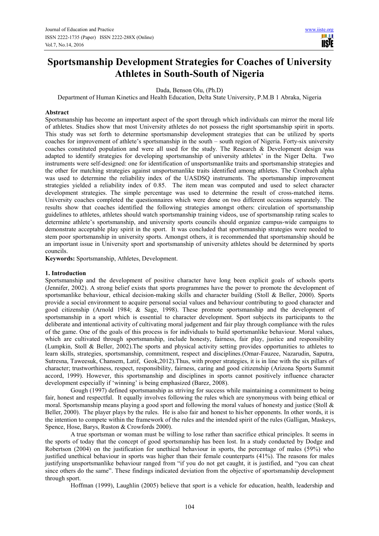H **TISIE** 

# **Sportsmanship Development Strategies for Coaches of University Athletes in South-South of Nigeria**

Dada, Benson Olu, (Ph.D)

Department of Human Kinetics and Health Education, Delta State University, P.M.B 1 Abraka, Nigeria

#### **Abstract**

Sportsmanship has become an important aspect of the sport through which individuals can mirror the moral life of athletes. Studies show that most University athletes do not possess the right sportsmanship spirit in sports. This study was set forth to determine sportsmanship development strategies that can be utilized by sports coaches for improvement of athlete's sportsmanship in the south – south region of Nigeria. Forty-six university coaches constituted population and were all used for the study. The Research & Development design was adapted to identify strategies for developing sportsmanship of university athletes' in the Niger Delta. Two instruments were self-designed: one for identification of unsportsmanlike traits and sportsmanship strategies and the other for matching strategies against unsportsmanlike traits identified among athletes. The Cronbach alpha was used to determine the reliability index of the UASDSQ instruments. The sportsmanship improvement strategies yielded a reliability index of 0.85. The item mean was computed and used to select character development strategies. The simple percentage was used to determine the result of cross-matched items. University coaches completed the questionnaires which were done on two different occasions separately. The results show that coaches identified the following strategies amongst others: circulation of sportsmanship guidelines to athletes, athletes should watch sportsmanship training videos, use of sportsmanship rating scales to determine athlete's sportsmanship, and university sports councils should organize campus-wide campaigns to demonstrate acceptable play spirit in the sport. It was concluded that sportsmanship strategies were needed to stem poor sportsmanship in university sports. Amongst others, it is recommended that sportsmanship should be an important issue in University sport and sportsmanship of university athletes should be determined by sports councils.

**Keywords:** Sportsmanship, Athletes, Development.

#### **1. Introduction**

Sportsmanship and the development of positive character have long been explicit goals of schools sports (Jennifer, 2002). A strong belief exists that sports programmes have the power to promote the development of sportsmanlike behaviour, ethical decision-making skills and character building (Stoll & Beller, 2000). Sports provide a social environment to acquire personal social values and behaviour contributing to good character and good citizenship (Arnold 1984; & Sage, 1998). These promote sportsmanship and the development of sportsmanship in a sport which is essential to character development. Sport subjects its participants to the deliberate and intentional activity of cultivating moral judgement and fair play through compliance with the rules of the game. One of the goals of this process is for individuals to build sportsmanlike behaviour. Moral values, which are cultivated through sportsmanship, include honesty, fairness, fair play, justice and responsibility (Lumpkin, Stoll & Beller, 2002).The sports and physical activity setting provides opportunities to athletes to learn skills, strategies, sportsmanship, commitment, respect and disciplines.(Omar-Fauzee, Nazarudin, Saputra, Sutresna, Taweesuk, Chansem, Latif, Geok,2012).Thus, with proper strategies, it is in line with the six pillars of character; trustworthiness, respect, responsibility, fairness, caring and good citizenship (Arizona Sports Summit accord, 1999). However, this sportsmanship and disciplines in sports cannot positively influence character development especially if 'winning' is being emphasized (Barez, 2008).

Gough (1997) defined sportsmanship as striving for success while maintaining a commitment to being fair, honest and respectful. It equally involves following the rules which are synonymous with being ethical or moral. Sportsmanship means playing a good sport and following the moral values of honesty and justice (Stoll & Beller, 2000). The player plays by the rules. He is also fair and honest to his/her opponents. In other words, it is the intention to compete within the framework of the rules and the intended spirit of the rules (Galligan, Maskeys, Spence, Hose, Barys, Ruston & Crowfords 2000).

A true sportsman or woman must be willing to lose rather than sacrifice ethical principles. It seems in the sports of today that the concept of good sportsmanship has been lost. In a study conducted by Dodge and Robertson (2004) on the justification for unethical behaviour in sports, the percentage of males (59%) who justified unethical behaviour in sports was higher than their female counterparts (41%). The reasons for males justifying unsportsmanlike behaviour ranged from "if you do not get caught, it is justified, and "you can cheat since others do the same". These findings indicated deviation from the objective of sportsmanship development through sport.

Hoffman (1999), Laughlin (2005) believe that sport is a vehicle for education, health, leadership and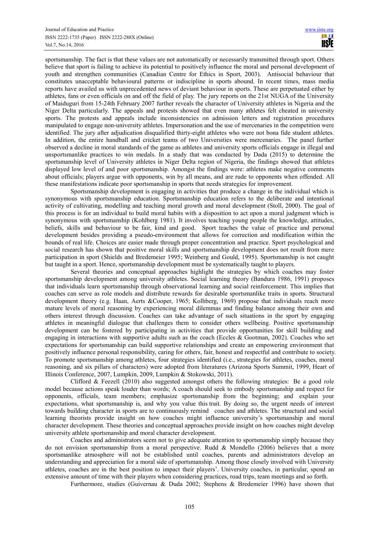sportsmanship. The fact is that these values are not automatically or necessarily transmitted through sport. Others believe that sport is failing to achieve its potential to positively influence the moral and personal development of youth and strengthen communities (Canadian Centre for Ethics in Sport, 2003). Antisocial behaviour that constitutes unacceptable behavioural patterns or indiscipline in sports abound. In recent times, mass media reports have availed us with unprecedented news of deviant behaviour in sports. These are perpetuated either by athletes, fans or even officials on and off the field of play. The jury reports on the 21st NUGA of the University of Maiduguri from 15-24th February 2007 further reveals the character of University athletes in Nigeria and the Niger Delta particularly. The appeals and protests showed that even many athletes felt cheated in university sports. The protests and appeals include inconsistencies on admission letters and registration procedures manipulated to engage non-university athletes. Impersonation and the use of mercenaries in the competition were identified. The jury after adjudication disqualified thirty-eight athletes who were not bona fide student athletes. In addition, the entire handball and cricket teams of two Universities were mercenaries. The panel further observed a decline in moral standards of the game as athletes and university sports officials engage in illegal and unsportsmanlike practices to win medals. In a study that was conducted by Dada (2015) to determine the sportsmanship level of University athletes in Niger Delta region of Nigeria, the findings showed that athletes displayed low level of and poor sportsmanship. Amongst the findings were: athletes make negative comments about officials; players argue with opponents, win by all means, and are rude to opponents when offended. All these manifestations indicate poor sportsmanship in sports that needs strategies for improvement.

Sportsmanship development is engaging in activities that produce a change in the individual which is synonymous with sportsmanship education. Sportsmanship education refers to the deliberate and intentional activity of cultivating, modelling and teaching moral growth and moral development (Stoll, 2000). The goal of this process is for an individual to build moral habits with a disposition to act upon a moral judgment which is synonymous with sportsmanship (Kohlberg 1981). It involves teaching young people the knowledge, attitudes, beliefs, skills and behaviour to be fair, kind and good. Sport teaches the value of practice and personal development besides providing a pseudo-environment that allows for correction and modification within the bounds of real life. Choices are easier made through proper concentration and practice. Sport psychological and social research has shown that positive moral skills and sportsmanship development does not result from mere participation in sport (Shields and Bredemeier 1995; Weinberg and Gould, 1995). Sportsmanship is not caught but taught in a sport. Hence, sportsmanship development must be systematically taught to players.

Several theories and conceptual approaches highlight the strategies by which coaches may foster sportsmanship development among university athletes. Social learning theory (Bandura 1986, 1991) proposes that individuals learn sportsmanship through observational learning and social reinforcement. This implies that coaches can serve as role models and distribute rewards for desirable sportsmanlike traits in sports. Structural development theory (e.g. Haan, Aerts &Cooper, 1965; Kolhberg, 1969) propose that individuals reach more mature levels of moral reasoning by experiencing moral dilemmas and finding balance among their own and others interest through discussion. Coaches can take advantage of such situations in the sport by engaging athletes in meaningful dialogue that challenges them to consider others wellbeing. Positive sportsmanship development can be fostered by participating in activities that provide opportunities for skill building and engaging in interactions with supportive adults such as the coach (Eccles & Gootman, 2002). Coaches who set expectations for sportsmanship can build supportive relationships and create an empowering environment that positively influence personal responsibility, caring for others, fair, honest and respectful and contribute to society. To promote sportsmanship among athletes, four strategies identified (i.e., strategies for athletes, coaches, moral reasoning, and six pillars of characters) were adopted from literatures (Arizona Sports Summit, 1999, Heart of Illinois Conference, 2007, Lumpkin, 2009, Lumpkin & Stokowski, 2011).

Clifford & Feezell (2010) also suggested amongst others the following strategies: Be a good role model because actions speak louder than words; A coach should seek to embody sportsmanship and respect for opponents, officials, team members; emphasize sportsmanship from the beginning; and explain your expectations, what sportsmanship is, and why you value this trait. By doing so, the urgent needs of interest towards building character in sports are to continuously remind coaches and athletes. The structural and social learning theorists provide insight on how coaches might influence university's sportsmanship and moral character development. These theories and conceptual approaches provide insight on how coaches might develop university athlete sportsmanship and moral character development.

Coaches and administrators seem not to give adequate attention to sportsmanship simply because they do not envision sportsmanship from a moral perspective. Rudd & Mondello (2006) believes that a more sportsmanlike atmosphere will not be established until coaches, parents and administrators develop an understanding and appreciation for a moral side of sportsmanship. Among those closely involved with University athletes, coaches are in the best position to impact their players'. University coaches, in particular, spend an extensive amount of time with their players when considering practices, road trips, team meetings and so forth.

Furthermore, studies (Guivernau & Duda 2002; Stephens & Bredemeier 1996) have shown that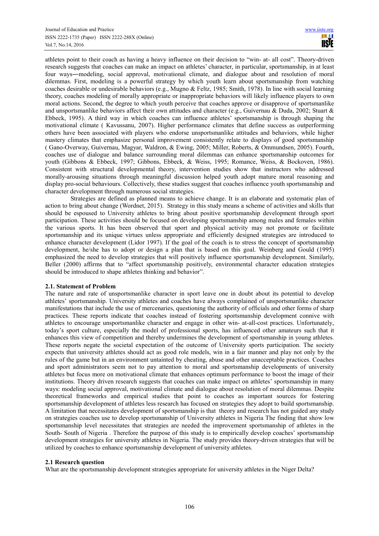athletes point to their coach as having a heavy influence on their decision to "win- at- all cost". Theory-driven research suggests that coaches can make an impact on athletes' character, in particular, sportsmanship, in at least four ways―modeling, social approval, motivational climate, and dialogue about and resolution of moral dilemmas. First, modeling is a powerful strategy by which youth learn about sportsmanship from watching coaches desirable or undesirable behaviors (e.g., Mugno & Feltz, 1985; Smith, 1978). In line with social learning theory, coaches modeling of morally appropriate or inappropriate behaviors will likely influence players to own moral actions. Second, the degree to which youth perceive that coaches approve or disapprove of sportsmanlike and unsportsmanlike behaviors affect their own attitudes and character (e.g., Guivernau & Duda, 2002; Stuart & Ebbeck, 1995). A third way in which coaches can influence athletes' sportsmanship is through shaping the motivational climate ( Kavussanu, 2007). Higher performance climates that define success as outperforming others have been associated with players who endorse unsportsmanlike attitudes and behaviors, while higher mastery climates that emphasize personal improvement consistently relate to displays of good sportsmanship ( Gano-Overway, Guivernau, Magyar, Waldron, & Ewing, 2005; Miller, Roberts, & Ommundsen, 2005). Fourth, coaches use of dialogue and balance surrounding moral dilemmas can enhance sportsmanship outcomes for youth (Gibbons & Ebbeck, 1997; Gibbons, Ebbeck, & Weiss, 1995; Romance, Weiss, & Bockoven, 1986). Consistent with structural developmental theory, intervention studies show that instructors who addressed morally-arousing situations through meaningful discussion helped youth adopt mature moral reasoning and display pro-social behaviours. Collectively, these studies suggest that coaches influence youth sportsmanship and character development through numerous social strategies.

Strategies are defined as planned means to achieve change. It is an elaborate and systematic plan of action to bring about change (Wordnet, 2015). Strategy in this study means a scheme of activities and skills that should be espoused to University athletes to bring about positive sportsmanship development through sport participation. These activities should be focused on developing sportsmanship among males and females within the various sports. It has been observed that sport and physical activity may not promote or facilitate sportsmanship and its unique virtues unless appropriate and efficiently designed strategies are introduced to enhance character development (Lidor 1997). If the goal of the coach is to stress the concept of sportsmanship development, he/she has to adopt or design a plan that is based on this goal. Weinberg and Gould (1995) emphasized the need to develop strategies that will positively influence sportsmanship development. Similarly, Beller (2000) affirms that to "affect sportsmanship positively, environmental character education strategies should be introduced to shape athletes thinking and behavior".

## **2.1. Statement of Problem**

The nature and rate of unsportsmanlike character in sport leave one in doubt about its potential to develop athletes' sportsmanship. University athletes and coaches have always complained of unsportsmanlike character manifestations that include the use of mercenaries, questioning the authority of officials and other forms of sharp practices. These reports indicate that coaches instead of fostering sportsmanship development connive with athletes to encourage unsportsmanlike character and engage in other win- at-all-cost practices. Unfortunately, today's sport culture, especially the model of professional sports, has influenced other amateurs such that it enhances this view of competition and thereby undermines the development of sportsmanship in young athletes. These reports negate the societal expectation of the outcome of University sports participation. The society expects that university athletes should act as good role models, win in a fair manner and play not only by the rules of the game but in an environment untainted by cheating, abuse and other unacceptable practices. Coaches and sport administrators seem not to pay attention to moral and sportsmanship developments of university athletes but focus more on motivational climate that enhances optimum performance to boost the image of their institutions. Theory driven research suggests that coaches can make impact on athletes' sportsmanship in many ways: modeling social approval, motivational climate and dialogue about resolution of moral dilemmas. Despite theoretical frameworks and empirical studies that point to coaches as important sources for fostering sportsmanship development of athletes less research has focused on strategies they adopt to build sportsmanship. A limitation that necessitates development of sportsmanship is that theory and research has not guided any study on strategies coaches use to develop sportsmanship of University athletes in Nigeria The finding that show low sportsmanship level necessitates that strategies are needed the improvement sportsmanship of athletes in the South- South of Nigeria . Therefore the purpose of this study is to empirically develop coaches' sportsmanship development strategies for university athletes in Nigeria. The study provides theory-driven strategies that will be utilized by coaches to enhance sportsmanship development of university athletes.

## **2.1 Research question**

What are the sportsmanship development strategies appropriate for university athletes in the Niger Delta?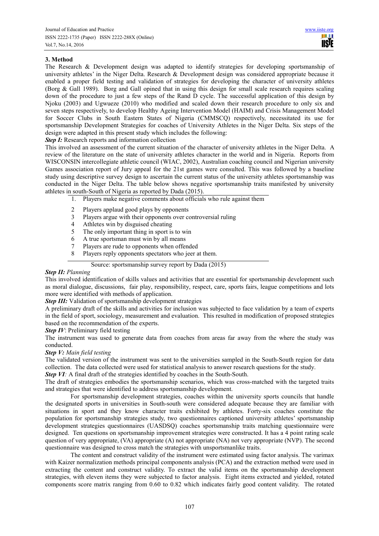# **3. Method**

The Research & Development design was adapted to identify strategies for developing sportsmanship of university athletes' in the Niger Delta. Research & Development design was considered appropriate because it enabled a proper field testing and validation of strategies for developing the character of university athletes (Borg & Gall 1989). Borg and Gall opined that in using this design for small scale research requires scaling down of the procedure to just a few steps of the Rand D cycle. The successful application of this design by Njoku (2003) and Ugwueze (2010) who modified and scaled down their research procedure to only six and seven steps respectively, to develop Healthy Ageing Intervention Model (HAIM) and Crisis Management Model for Soccer Clubs in South Eastern States of Nigeria (CMMSCQ) respectively, necessitated its use for sportsmanship Development Strategies for coaches of University Athletes in the Niger Delta. Six steps of the design were adapted in this present study which includes the following:

*Step I:* Research reports and information collection

This involved an assessment of the current situation of the character of university athletes in the Niger Delta. A review of the literature on the state of university athletes character in the world and in Nigeria. Reports from WISCONSIN intercollegiate athletic council (WIAC, 2002), Australian coaching council and Nigerian university Games association report of Jury appeal for the 21st games were consulted. This was followed by a baseline study using descriptive survey design to ascertain the current status of the university athletes sportsmanship was conducted in the Niger Delta. The table below shows negative sportsmanship traits manifested by university athletes in south-South of Nigeria as reported by Dada (2015).

- 1. Players make negative comments about officials who rule against them
- 2 Players applaud good plays by opponents
- 3 Players argue with their opponents over controversial ruling
- 4 Athletes win by disguised cheating
- 5 The only important thing in sport is to win
- 6 A true sportsman must win by all means
- 7 Players are rude to opponents when offended
- 8 Players reply opponents spectators who jeer at them.

Source: sportsmanship survey report by Dada (2015)

## *Step II: Planning*

This involved identification of skills values and activities that are essential for sportsmanship development such as moral dialogue, discussions, fair play, responsibility, respect, care, sports fairs, league competitions and lots more were identified with methods of application.

## **Step III:** Validation of sportsmanship development strategies

A preliminary draft of the skills and activities for inclusion was subjected to face validation by a team of experts in the field of sport, sociology, measurement and evaluation. This resulted in modification of proposed strategies based on the recommendation of the experts.

*Step IV*: Preliminary field testing

The instrument was used to generate data from coaches from areas far away from the where the study was conducted.

## *Step V: Main field testing*

The validated version of the instrument was sent to the universities sampled in the South-South region for data collection. The data collected were used for statistical analysis to answer research questions for the study.

*Step VI*: A final draft of the strategies identified by coaches in the South-South.

The draft of strategies embodies the sportsmanship scenarios, which was cross-matched with the targeted traits and strategies that were identified to address sportsmanship development.

For sportsmanship development strategies, coaches within the university sports councils that handle the designated sports in universities in South-south were considered adequate because they are familiar with situations in sport and they know character traits exhibited by athletes. Forty-six coaches constitute the population for sportsmanship strategies study, two questionnaires captioned university athletes' sportsmanship development strategies questionnaires (UASDSQ) coaches sportsmanship traits matching questionnaire were designed. Ten questions on sportsmanship improvement strategies were constructed. It has a 4 point rating scale question of very appropriate, (VA) appropriate (A) not appropriate (NA) not very appropriate (NVP). The second questionnaire was designed to cross match the strategies with unsportsmanlike traits.

The content and construct validity of the instrument were estimated using factor analysis. The varimax with Kaizer normalization methods principal components analysis (PCA) and the extraction method were used in extracting the content and construct validity. To extract the valid items on the sportsmanship development strategies, with eleven items they were subjected to factor analysis. Eight items extracted and yielded, rotated components score matrix ranging from 0.60 to 0.82 which indicates fairly good content validity. The rotated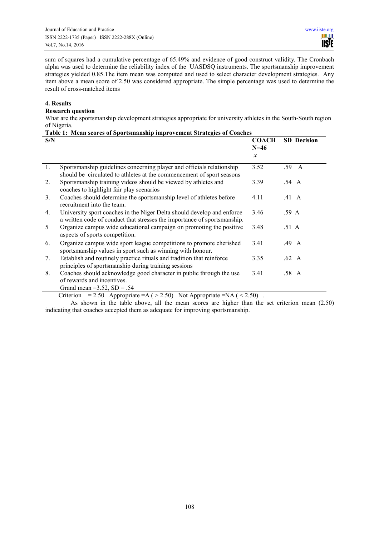sum of squares had a cumulative percentage of 65.49% and evidence of good construct validity. The Cronbach alpha was used to determine the reliability index of the UASDSQ instruments. The sportsmanship improvement strategies yielded 0.85.The item mean was computed and used to select character development strategies. Any item above a mean score of 2.50 was considered appropriate. The simple percentage was used to determine the result of cross-matched items

## **4. Results**

## **Research question**

What are the sportsmanship development strategies appropriate for university athletes in the South-South region of Nigeria.

| Table 1: Mean scores of Sportsmanship improvement Strategies of Coaches |                                                                                                                                                                                                                                                                                                                                                                                                                                                           |                                          |                    |  |  |  |
|-------------------------------------------------------------------------|-----------------------------------------------------------------------------------------------------------------------------------------------------------------------------------------------------------------------------------------------------------------------------------------------------------------------------------------------------------------------------------------------------------------------------------------------------------|------------------------------------------|--------------------|--|--|--|
| S/N                                                                     |                                                                                                                                                                                                                                                                                                                                                                                                                                                           | <b>COACH</b><br>$N=46$<br>$\overline{x}$ | <b>SD</b> Decision |  |  |  |
|                                                                         |                                                                                                                                                                                                                                                                                                                                                                                                                                                           |                                          |                    |  |  |  |
| 1.                                                                      | Sportsmanship guidelines concerning player and officials relationship<br>should be circulated to athletes at the commencement of sport seasons                                                                                                                                                                                                                                                                                                            | 3.52                                     | .59<br>A           |  |  |  |
| 2.                                                                      | Sportsmanship training videos should be viewed by athletes and<br>coaches to highlight fair play scenarios                                                                                                                                                                                                                                                                                                                                                | 3.39                                     | $.54\quad A$       |  |  |  |
| 3.                                                                      | Coaches should determine the sportsmanship level of athletes before<br>recruitment into the team.                                                                                                                                                                                                                                                                                                                                                         | 4.11                                     | $.41\;\;A$         |  |  |  |
| 4.                                                                      | University sport coaches in the Niger Delta should develop and enforce<br>a written code of conduct that stresses the importance of sportsmanship.                                                                                                                                                                                                                                                                                                        | 3.46                                     | .59 A              |  |  |  |
| 5                                                                       | Organize campus wide educational campaign on promoting the positive<br>aspects of sports competition.                                                                                                                                                                                                                                                                                                                                                     | 3.48                                     | .51 A              |  |  |  |
| 6.                                                                      | Organize campus wide sport league competitions to promote cherished<br>sportsmanship values in sport such as winning with honour.                                                                                                                                                                                                                                                                                                                         | 3.41                                     | $.49\quad A$       |  |  |  |
| 7.                                                                      | Establish and routinely practice rituals and tradition that reinforce<br>principles of sportsmanship during training sessions                                                                                                                                                                                                                                                                                                                             | 3.35                                     | .62 A              |  |  |  |
| 8.                                                                      | Coaches should acknowledge good character in public through the use<br>of rewards and incentives.<br>Grand mean = $3.52$ , SD = .54                                                                                                                                                                                                                                                                                                                       | 3.41                                     | .58 A              |  |  |  |
|                                                                         | $\mathcal{L}$ and $\mathcal{L}$ and $\mathcal{L}$<br>$\sim$<br>$\Omega$ $\Omega$ $\Lambda$<br>$\mathcal{L}$ $\mathcal{L}$ $\mathcal{L}$ $\mathcal{L}$ $\mathcal{L}$ $\mathcal{L}$ $\mathcal{L}$ $\mathcal{L}$ $\mathcal{L}$ $\mathcal{L}$ $\mathcal{L}$ $\mathcal{L}$ $\mathcal{L}$ $\mathcal{L}$ $\mathcal{L}$ $\mathcal{L}$ $\mathcal{L}$ $\mathcal{L}$ $\mathcal{L}$ $\mathcal{L}$ $\mathcal{L}$ $\mathcal{L}$ $\mathcal{L}$ $\mathcal{L}$ $\mathcal{$ |                                          |                    |  |  |  |

Criterion = 2.50 Appropriate = $A$  ( > 2.50) Not Appropriate = $NA$  ( < 2.50).

As shown in the table above, all the mean scores are higher than the set criterion mean (2.50) indicating that coaches accepted them as adequate for improving sportsmanship.

108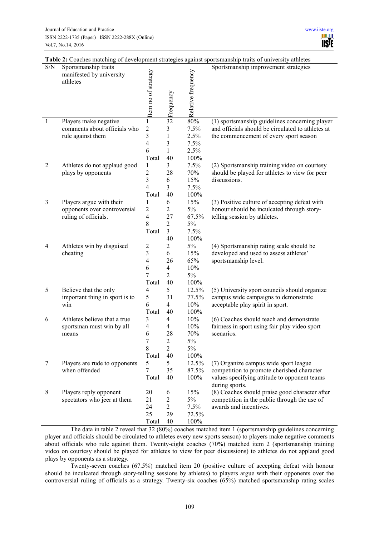| S/N            | Sportsmanship traits                 |                         |                         |                    | Sportsmanship improvement strategies                           |
|----------------|--------------------------------------|-------------------------|-------------------------|--------------------|----------------------------------------------------------------|
|                | manifested by university<br>athletes | Item no of strategy     |                         | Relative frequency |                                                                |
|                |                                      |                         |                         |                    |                                                                |
|                |                                      |                         |                         |                    |                                                                |
|                |                                      |                         |                         |                    |                                                                |
|                |                                      |                         |                         |                    |                                                                |
| $\mathbf{1}$   | Players make negative                | $\mathbf{1}$            | signed<br>predictions   | 80%                | (1) sportsmanship guidelines concerning player                 |
|                | comments about officials who         | $\overline{\mathbf{c}}$ | 3                       | 7.5%               | and officials should be circulated to athletes at              |
|                | rule against them                    | 3                       | $\mathbf{1}$            | 2.5%               | the commencement of every sport season                         |
|                |                                      | $\overline{\mathbf{4}}$ | 3                       | 7.5%               |                                                                |
|                |                                      | 6                       | $\mathbf{1}$            | 2.5%               |                                                                |
|                |                                      | Total                   | 40                      | 100%               |                                                                |
| $\overline{2}$ | Athletes do not applaud good         | $\mathbf{1}$            | $\overline{\mathbf{3}}$ | 7.5%               | (2) Sportsmanship training video on courtesy                   |
|                | plays by opponents                   | $\overline{c}$          | 28                      | 70%                | should be played for athletes to view for peer                 |
|                |                                      | 3                       | 6                       | 15%                | discussions.                                                   |
|                |                                      | 4<br>Total              | 3<br>40                 | 7.5%<br>100%       |                                                                |
| 3              | Players argue with their             | 1                       | 6                       | 15%                | (3) Positive culture of accepting defeat with                  |
|                | opponents over controversial         | $\overline{\mathbf{c}}$ | $\mathbf{2}$            | $5\%$              | honour should be inculcated through story-                     |
|                | ruling of officials.                 | 4                       | 27                      | 67.5%              | telling session by athletes.                                   |
|                |                                      | 8                       | $\sqrt{2}$              | 5%                 |                                                                |
|                |                                      | Total                   | 3                       | 7.5%               |                                                                |
|                |                                      |                         | 40                      | 100%               |                                                                |
| 4              | Athletes win by disguised            | $\overline{\mathbf{c}}$ | 2                       | $5\%$              | (4) Sportsmanship rating scale should be                       |
|                | cheating                             | 3                       | 6                       | 15%                | developed and used to assess athletes'                         |
|                |                                      | 4                       | 26                      | 65%                | sportsmanship level.                                           |
|                |                                      | 6                       | 4                       | 10%                |                                                                |
|                |                                      | 7                       | $\overline{2}$          | 5%                 |                                                                |
| 5              | Believe that the only                | Total<br>4              | 40<br>5                 | 100%<br>12.5%      | (5) University sport councils should organize                  |
|                | important thing in sport is to       | 5                       | 31                      | 77.5%              | campus wide campaigns to demonstrate                           |
|                | win                                  | 6                       | $\overline{4}$          | 10%                | acceptable play spirit in sport.                               |
|                |                                      | Total                   | 40                      | 100%               |                                                                |
| 6              | Athletes believe that a true         | 3                       | $\overline{4}$          | 10%                | (6) Coaches should teach and demonstrate                       |
|                | sportsman must win by all            | $\overline{4}$          | $\overline{4}$          | 10%                | fairness in sport using fair play video sport                  |
|                | means                                | 6                       | 28                      | 70%                | scenarios.                                                     |
|                |                                      | 7                       | $\overline{c}$          | 5%                 |                                                                |
|                |                                      | 8                       | $\overline{c}$          | $5\%$              |                                                                |
|                |                                      | Total                   | 40                      | 100%               |                                                                |
| $\tau$         | Players are rude to opponents        | 5                       | 5                       | 12.5%              | (7) Organize campus wide sport league                          |
|                | when offended                        | $\tau$                  | 35                      | 87.5%              | competition to promote cherished character                     |
|                |                                      | Total                   | 40                      | 100%               | values specifying attitude to opponent teams<br>during sports. |
| $8\,$          | Players reply opponent               | 20                      | 6                       | 15%                | (8) Coaches should praise good character after                 |
|                | spectators who jeer at them          | 21                      | $\sqrt{2}$              | 5%                 | competition in the public through the use of                   |
|                |                                      | 24                      | $\overline{c}$          | 7.5%               | awards and incentives.                                         |
|                |                                      | 25                      | 29                      | 72.5%              |                                                                |
|                |                                      | Total                   | 40                      | 100%               |                                                                |

**Table 2:** Coaches matching of development strategies against sportsmanship traits of university athletes

The data in table 2 reveal that 32 (80%) coaches matched item 1 (sportsmanship guidelines concerning player and officials should be circulated to athletes every new sports season) to players make negative comments about officials who rule against them. Twenty-eight coaches (70%) matched item 2 (sportsmanship training video on courtesy should be played for athletes to view for peer discussions) to athletes do not applaud good plays by opponents as a strategy.

Twenty-seven coaches (67.5%) matched item 20 (positive culture of accepting defeat with honour should be inculcated through story-telling sessions by athletes) to players argue with their opponents over the controversial ruling of officials as a strategy. Twenty-six coaches (65%) matched sportsmanship rating scales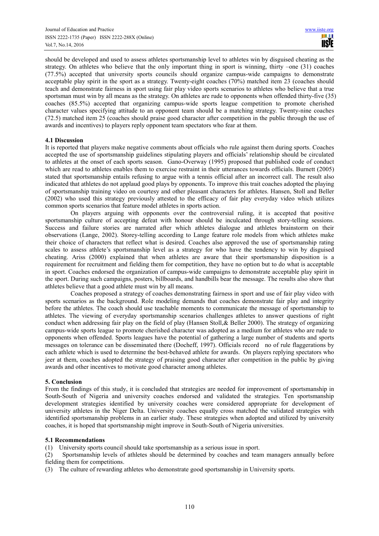should be developed and used to assess athletes sportsmanship level to athletes win by disguised cheating as the strategy. On athletes who believe that the only important thing in sport is winning, thirty –one (31) coaches (77.5%) accepted that university sports councils should organize campus-wide campaigns to demonstrate acceptable play spirit in the sport as a strategy. Twenty-eight coaches (70%) matched item 23 (coaches should teach and demonstrate fairness in sport using fair play video sports scenarios to athletes who believe that a true sportsman must win by all means as the strategy. On athletes are rude to opponents when offended thirty-five (35) coaches (85.5%) accepted that organizing campus-wide sports league competition to promote cherished character values specifying attitude to an opponent team should be a matching strategy. Twenty-nine coaches (72.5) matched item 25 (coaches should praise good character after competition in the public through the use of awards and incentives) to players reply opponent team spectators who fear at them.

## **4.1 Discussion**

It is reported that players make negative comments about officials who rule against them during sports. Coaches accepted the use of sportsmanship guidelines stipulating players and officials' relationship should be circulated to athletes at the onset of each sports season. Gano-Overway (1995) proposed that published code of conduct which are read to athletes enables them to exercise restraint in their utterances towards officials. Burnett (2005) stated that sportsmanship entails refusing to argue with a tennis official after an incorrect call. The result also indicated that athletes do not applaud good plays by opponents. To improve this trait coaches adopted the playing of sportsmanship training video on courtesy and other pleasant characters for athletes. Hansen, Stoll and Beller (2002) who used this strategy previously attested to the efficacy of fair play everyday video which utilizes common sports scenarios that feature model athletes in sports action.

On players arguing with opponents over the controversial ruling, it is accepted that positive sportsmanship culture of accepting defeat with honour should be inculcated through story-telling sessions. Success and failure stories are narrated after which athletes dialogue and athletes brainstorm on their observations (Lange, 2002). Storey-telling according to Lange feature role models from which athletes make their choice of characters that reflect what is desired. Coaches also approved the use of sportsmanship rating scales to assess athlete's sportsmanship level as a strategy for who have the tendency to win by disguised cheating. Ariss (2000) explained that when athletes are aware that their sportsmanship disposition is a requirement for recruitment and fielding them for competition, they have no option but to do what is acceptable in sport. Coaches endorsed the organization of campus-wide campaigns to demonstrate acceptable play spirit in the sport. During such campaigns, posters, billboards, and handbills bear the message. The results also show that athletes believe that a good athlete must win by all means.

Coaches proposed a strategy of coaches demonstrating fairness in sport and use of fair play video with sports scenarios as the background. Role modeling demands that coaches demonstrate fair play and integrity before the athletes. The coach should use teachable moments to communicate the message of sportsmanship to athletes. The viewing of everyday sportsmanship scenarios challenges athletes to answer questions of right conduct when addressing fair play on the field of play (Hansen Stoll,& Beller 2000). The strategy of organizing campus-wide sports league to promote cherished character was adopted as a medium for athletes who are rude to opponents when offended. Sports leagues have the potential of gathering a large number of students and sports messages on tolerance can be disseminated there (Docheff, 1997). Officials record no of rule flaggerations by each athlete which is used to determine the best-behaved athlete for awards. On players replying spectators who jeer at them, coaches adopted the strategy of praising good character after competition in the public by giving awards and other incentives to motivate good character among athletes.

## **5. Conclusion**

From the findings of this study, it is concluded that strategies are needed for improvement of sportsmanship in South-South of Nigeria and university coaches endorsed and validated the strategies. Ten sportsmanship development strategies identified by university coaches were considered appropriate for development of university athletes in the Niger Delta. University coaches equally cross matched the validated strategies with identified sportsmanship problems in an earlier study. These strategies when adopted and utilized by university coaches, it is hoped that sportsmanship might improve in South-South of Nigeria universities.

## **5.1 Recommendations**

(1) University sports council should take sportsmanship as a serious issue in sport.

(2) Sportsmanship levels of athletes should be determined by coaches and team managers annually before fielding them for competitions.

(3) The culture of rewarding athletes who demonstrate good sportsmanship in University sports.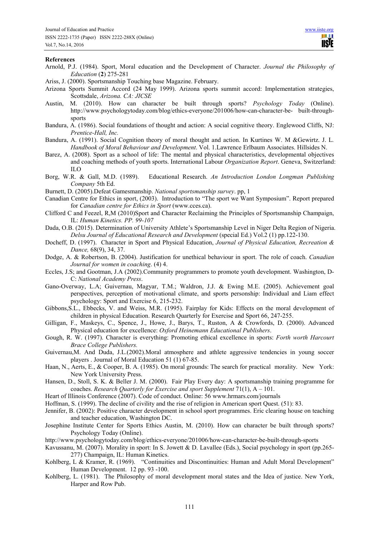#### **References**

- Arnold, P.J. (1984). Sport, Moral education and the Development of Character. *Journal the Philosophy of Education* (**2**) 275-281
- Ariss, J. (2000). Sportsmanship Touching base Magazine. February.
- Arizona Sports Summit Accord (24 May 1999). Arizona sports summit accord: Implementation strategies, Scottsdale, *Arizona. CA: JICSE*
- Austin, M. (2010). How can character be built through sports? *Psychology Today* (Online). http://www.psychologytoday.com/blog/ethics-everyone/201006/how-can-character-be- built-throughsports
- Bandura, A. (1986). Social foundations of thought and action: A social cognitive theory. Englewood Cliffs, NJ: *Prentice-Hall, Inc.*
- Bandura, A. (1991). Social Cognition theory of moral thought and action. In Kurtines W. M &Gewirtz. J. L*. Handbook of Moral Behaviour and Development*. Vol. 1.Lawrence Erlbaum Associates. Hillsides N.
- Barez, A. (2008). Sport as a school of life: The mental and physical characteristics, developmental objectives and coaching methods of youth sports. International Labour *Organization Report*. Geneva, Switzerland: ILO
- Borg, W.R. & Gall, M.D. (1989). Educational Research. *An Introduction London Longman Publishing Company* 5th Ed.
- Burnett, D. (2005).Defeat Gamesmanship. *National sportsmanship survey*. pp, 1
- Canadian Centre for Ethics in sport, (2003). Introduction to "The sport we Want Symposium". Report prepared for *Canadian centre for Ethics in Sport* (www.cces.ca).
- Clifford C and Feezel, R,M (2010)Sport and Character Reclaiming the Principles of Sportsmanship Champaign, IL: *Human Kinetics. PP. 99-107*
- Dada, O.B. (2015). Determination of University Athlete's Sportsmanship Level in Niger Delta Region of Nigeria. *Delsu Journal of Educational Research and Development* (special Ed.) Vol.2 (1) pp.122-130.
- Docheff, D. (1997). Character in Sport and Physical Education, *Journal of Physical Education, Recreation & Dance,* 68(9), 34, 37.
- Dodge, A. & Robertson, B. (2004). Justification for unethical behaviour in sport. The role of coach. *Canadian Journal for women in coaching*. (4) 4.
- Eccles, J.S; and Gootman, J.A (2002).Community programmers to promote youth development. Washington, D-C: *National Academy Press*.
- Gano-Overway, L.A; Guivernau, Magyar, T.M.; Waldron, J.J. & Ewing M.E. (2005). Achievement goal perspectives, perception of motivational climate, and sports personship: Individual and Liam effect psychology: Sport and Exercise 6, 215-232.
- Gibbons,S.L., Ebbecks, V. and Weiss, M.R. (1995). Fairplay for Kids: Effects on the moral development of children in physical Education. Research Quarterly for Exercise and Sport 66, 247-255.
- Gilligan, F., Maskeys, C., Spence, J., Howe, J., Barys, T., Ruston, A & Crowfords, D. (2000). Advanced Physical education for excellence: *Oxford Heinemann Educational Publishers*.
- Gough, R. W. (1997). Character is everything: Promoting ethical excellence in sports: *Forth worth Harcourt Brace College Publishers.*
- Guivernau,M. And Duda, J.L.(2002).Moral atmosphere and athlete aggressive tendencies in young soccer players . Journal of Moral Education 51 (1) 67-85.
- Haan, N., Aerts, E., & Cooper, B. A. (1985). On moral grounds: The search for practical morality. New York: New York University Press.
- Hansen, D., Stoll, S. K. & Beller J. M. (2000). Fair Play Every day: A sportsmanship training programme for coaches. *Research Quarterly for Exercise and sport Supplement* 71(1), A – 101.
- Heart of Illinois Conference (2007). Code of conduct. Online: 56 www.hrmars.com/journals
- Hoffman, S. (1999). The decline of civility and the rise of religion in American sport Quest. (51): 83.
- Jennifer, B. (2002): Positive character development in school sport programmes. Eric clearing house on teaching and teacher education, Washington DC.
- Josephine Institute Center for Sports Ethics Austin, M. (2010). How can character be built through sports? Psychology Today (Online).
- http://www.psychologytoday.com/blog/ethics-everyone/201006/how-can-character-be-built-through-sports
- Kavussanu, M. (2007). Morality in sport: In S. Jowett & D. Lavallee (Eds.), Social psychology in sport (pp.265- 277) Champaign, IL: Human Kinetics.
- Kohlberg, L & Kramer, R. (1969). "Continuities and Discontinuities: Human and Adult Moral Development" Human Development. 12 pp. 93 -100.
- Kohlberg, L. (1981). The Philosophy of moral development moral states and the Idea of justice. New York, Harper and Row Pub.